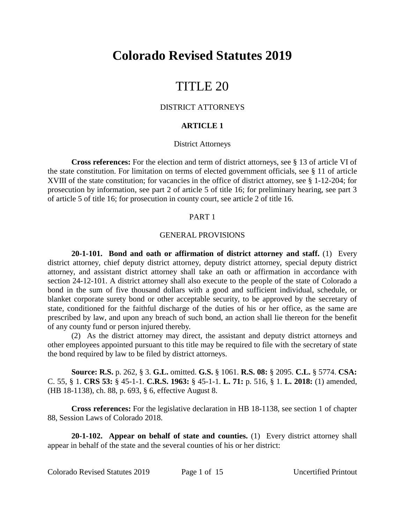# **Colorado Revised Statutes 2019**

# TITLE 20

# DISTRICT ATTORNEYS

# **ARTICLE 1**

### District Attorneys

**Cross references:** For the election and term of district attorneys, see § 13 of article VI of the state constitution. For limitation on terms of elected government officials, see § 11 of article XVIII of the state constitution; for vacancies in the office of district attorney, see § 1-12-204; for prosecution by information, see part 2 of article 5 of title 16; for preliminary hearing, see part 3 of article 5 of title 16; for prosecution in county court, see article 2 of title 16.

### PART 1

#### GENERAL PROVISIONS

**20-1-101. Bond and oath or affirmation of district attorney and staff.** (1) Every district attorney, chief deputy district attorney, deputy district attorney, special deputy district attorney, and assistant district attorney shall take an oath or affirmation in accordance with section 24-12-101. A district attorney shall also execute to the people of the state of Colorado a bond in the sum of five thousand dollars with a good and sufficient individual, schedule, or blanket corporate surety bond or other acceptable security, to be approved by the secretary of state, conditioned for the faithful discharge of the duties of his or her office, as the same are prescribed by law, and upon any breach of such bond, an action shall lie thereon for the benefit of any county fund or person injured thereby.

(2) As the district attorney may direct, the assistant and deputy district attorneys and other employees appointed pursuant to this title may be required to file with the secretary of state the bond required by law to be filed by district attorneys.

**Source: R.S.** p. 262, § 3. **G.L.** omitted. **G.S.** § 1061. **R.S. 08:** § 2095. **C.L.** § 5774. **CSA:** C. 55, § 1. **CRS 53:** § 45-1-1. **C.R.S. 1963:** § 45-1-1. **L. 71:** p. 516, § 1. **L. 2018:** (1) amended, (HB 18-1138), ch. 88, p. 693, § 6, effective August 8.

**Cross references:** For the legislative declaration in HB 18-1138, see section 1 of chapter 88, Session Laws of Colorado 2018.

**20-1-102. Appear on behalf of state and counties.** (1) Every district attorney shall appear in behalf of the state and the several counties of his or her district: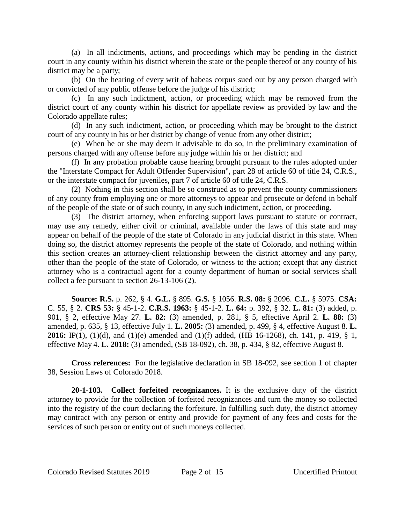(a) In all indictments, actions, and proceedings which may be pending in the district court in any county within his district wherein the state or the people thereof or any county of his district may be a party;

(b) On the hearing of every writ of habeas corpus sued out by any person charged with or convicted of any public offense before the judge of his district;

(c) In any such indictment, action, or proceeding which may be removed from the district court of any county within his district for appellate review as provided by law and the Colorado appellate rules;

(d) In any such indictment, action, or proceeding which may be brought to the district court of any county in his or her district by change of venue from any other district;

(e) When he or she may deem it advisable to do so, in the preliminary examination of persons charged with any offense before any judge within his or her district; and

(f) In any probation probable cause hearing brought pursuant to the rules adopted under the "Interstate Compact for Adult Offender Supervision", part 28 of article 60 of title 24, C.R.S., or the interstate compact for juveniles, part 7 of article 60 of title 24, C.R.S.

(2) Nothing in this section shall be so construed as to prevent the county commissioners of any county from employing one or more attorneys to appear and prosecute or defend in behalf of the people of the state or of such county, in any such indictment, action, or proceeding.

(3) The district attorney, when enforcing support laws pursuant to statute or contract, may use any remedy, either civil or criminal, available under the laws of this state and may appear on behalf of the people of the state of Colorado in any judicial district in this state. When doing so, the district attorney represents the people of the state of Colorado, and nothing within this section creates an attorney-client relationship between the district attorney and any party, other than the people of the state of Colorado, or witness to the action; except that any district attorney who is a contractual agent for a county department of human or social services shall collect a fee pursuant to section 26-13-106 (2).

**Source: R.S.** p. 262, § 4. **G.L.** § 895. **G.S.** § 1056. **R.S. 08:** § 2096. **C.L.** § 5975. **CSA:** C. 55, § 2. **CRS 53:** § 45-1-2. **C.R.S. 1963:** § 45-1-2. **L. 64:** p. 392, § 32. **L. 81:** (3) added, p. 901, § 2, effective May 27. **L. 82:** (3) amended, p. 281, § 5, effective April 2. **L. 88:** (3) amended, p. 635, § 13, effective July 1. **L. 2005:** (3) amended, p. 499, § 4, effective August 8. **L. 2016:** IP(1), (1)(d), and (1)(e) amended and (1)(f) added, (HB 16-1268), ch. 141, p. 419, § 1, effective May 4. **L. 2018:** (3) amended, (SB 18-092), ch. 38, p. 434, § 82, effective August 8.

**Cross references:** For the legislative declaration in SB 18-092, see section 1 of chapter 38, Session Laws of Colorado 2018.

**20-1-103. Collect forfeited recognizances.** It is the exclusive duty of the district attorney to provide for the collection of forfeited recognizances and turn the money so collected into the registry of the court declaring the forfeiture. In fulfilling such duty, the district attorney may contract with any person or entity and provide for payment of any fees and costs for the services of such person or entity out of such moneys collected.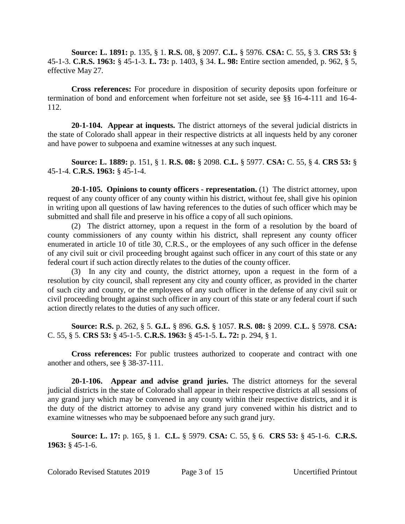**Source: L. 1891:** p. 135, § 1. **R.S.** 08, § 2097. **C.L.** § 5976. **CSA:** C. 55, § 3. **CRS 53:** § 45-1-3. **C.R.S. 1963:** § 45-1-3. **L. 73:** p. 1403, § 34. **L. 98:** Entire section amended, p. 962, § 5, effective May 27.

**Cross references:** For procedure in disposition of security deposits upon forfeiture or termination of bond and enforcement when forfeiture not set aside, see §§ 16-4-111 and 16-4- 112.

**20-1-104. Appear at inquests.** The district attorneys of the several judicial districts in the state of Colorado shall appear in their respective districts at all inquests held by any coroner and have power to subpoena and examine witnesses at any such inquest.

**Source: L. 1889:** p. 151, § 1. **R.S. 08:** § 2098. **C.L.** § 5977. **CSA:** C. 55, § 4. **CRS 53:** § 45-1-4. **C.R.S. 1963:** § 45-1-4.

**20-1-105. Opinions to county officers - representation.** (1) The district attorney, upon request of any county officer of any county within his district, without fee, shall give his opinion in writing upon all questions of law having references to the duties of such officer which may be submitted and shall file and preserve in his office a copy of all such opinions.

(2) The district attorney, upon a request in the form of a resolution by the board of county commissioners of any county within his district, shall represent any county officer enumerated in article 10 of title 30, C.R.S., or the employees of any such officer in the defense of any civil suit or civil proceeding brought against such officer in any court of this state or any federal court if such action directly relates to the duties of the county officer.

(3) In any city and county, the district attorney, upon a request in the form of a resolution by city council, shall represent any city and county officer, as provided in the charter of such city and county, or the employees of any such officer in the defense of any civil suit or civil proceeding brought against such officer in any court of this state or any federal court if such action directly relates to the duties of any such officer.

**Source: R.S.** p. 262, § 5. **G.L.** § 896. **G.S.** § 1057. **R.S. 08:** § 2099. **C.L.** § 5978. **CSA:** C. 55, § 5. **CRS 53:** § 45-1-5. **C.R.S. 1963:** § 45-1-5. **L. 72:** p. 294, § 1.

**Cross references:** For public trustees authorized to cooperate and contract with one another and others, see § 38-37-111.

**20-1-106. Appear and advise grand juries.** The district attorneys for the several judicial districts in the state of Colorado shall appear in their respective districts at all sessions of any grand jury which may be convened in any county within their respective districts, and it is the duty of the district attorney to advise any grand jury convened within his district and to examine witnesses who may be subpoenaed before any such grand jury.

**Source: L. 17:** p. 165, § 1. **C.L.** § 5979. **CSA:** C. 55, § 6. **CRS 53:** § 45-1-6. **C.R.S. 1963:** § 45-1-6.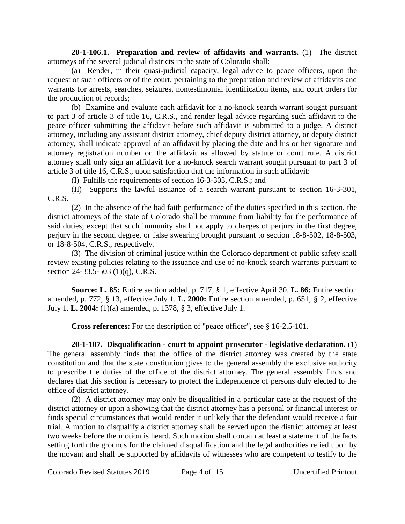**20-1-106.1. Preparation and review of affidavits and warrants.** (1) The district attorneys of the several judicial districts in the state of Colorado shall:

(a) Render, in their quasi-judicial capacity, legal advice to peace officers, upon the request of such officers or of the court, pertaining to the preparation and review of affidavits and warrants for arrests, searches, seizures, nontestimonial identification items, and court orders for the production of records;

(b) Examine and evaluate each affidavit for a no-knock search warrant sought pursuant to part 3 of article 3 of title 16, C.R.S., and render legal advice regarding such affidavit to the peace officer submitting the affidavit before such affidavit is submitted to a judge. A district attorney, including any assistant district attorney, chief deputy district attorney, or deputy district attorney, shall indicate approval of an affidavit by placing the date and his or her signature and attorney registration number on the affidavit as allowed by statute or court rule. A district attorney shall only sign an affidavit for a no-knock search warrant sought pursuant to part 3 of article 3 of title 16, C.R.S., upon satisfaction that the information in such affidavit:

(I) Fulfills the requirements of section 16-3-303, C.R.S.; and

(II) Supports the lawful issuance of a search warrant pursuant to section 16-3-301, C.R.S.

(2) In the absence of the bad faith performance of the duties specified in this section, the district attorneys of the state of Colorado shall be immune from liability for the performance of said duties; except that such immunity shall not apply to charges of perjury in the first degree, perjury in the second degree, or false swearing brought pursuant to section 18-8-502, 18-8-503, or 18-8-504, C.R.S., respectively.

(3) The division of criminal justice within the Colorado department of public safety shall review existing policies relating to the issuance and use of no-knock search warrants pursuant to section 24-33.5-503 (1)(q), C.R.S.

**Source: L. 85:** Entire section added, p. 717, § 1, effective April 30. **L. 86:** Entire section amended, p. 772, § 13, effective July 1. **L. 2000:** Entire section amended, p. 651, § 2, effective July 1. **L. 2004:** (1)(a) amended, p. 1378, § 3, effective July 1.

**Cross references:** For the description of "peace officer", see § 16-2.5-101.

**20-1-107. Disqualification - court to appoint prosecutor - legislative declaration.** (1) The general assembly finds that the office of the district attorney was created by the state constitution and that the state constitution gives to the general assembly the exclusive authority to prescribe the duties of the office of the district attorney. The general assembly finds and declares that this section is necessary to protect the independence of persons duly elected to the office of district attorney.

(2) A district attorney may only be disqualified in a particular case at the request of the district attorney or upon a showing that the district attorney has a personal or financial interest or finds special circumstances that would render it unlikely that the defendant would receive a fair trial. A motion to disqualify a district attorney shall be served upon the district attorney at least two weeks before the motion is heard. Such motion shall contain at least a statement of the facts setting forth the grounds for the claimed disqualification and the legal authorities relied upon by the movant and shall be supported by affidavits of witnesses who are competent to testify to the

Colorado Revised Statutes 2019 Page 4 of 15 Uncertified Printout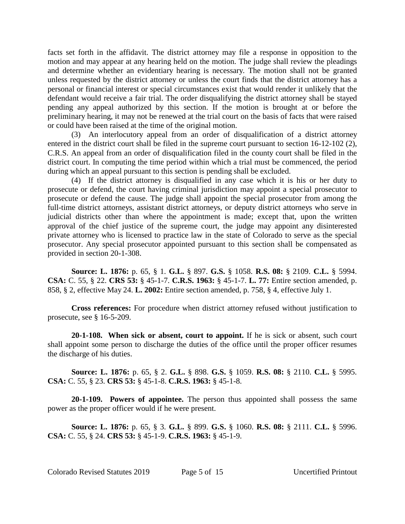facts set forth in the affidavit. The district attorney may file a response in opposition to the motion and may appear at any hearing held on the motion. The judge shall review the pleadings and determine whether an evidentiary hearing is necessary. The motion shall not be granted unless requested by the district attorney or unless the court finds that the district attorney has a personal or financial interest or special circumstances exist that would render it unlikely that the defendant would receive a fair trial. The order disqualifying the district attorney shall be stayed pending any appeal authorized by this section. If the motion is brought at or before the preliminary hearing, it may not be renewed at the trial court on the basis of facts that were raised or could have been raised at the time of the original motion.

(3) An interlocutory appeal from an order of disqualification of a district attorney entered in the district court shall be filed in the supreme court pursuant to section 16-12-102 (2), C.R.S. An appeal from an order of disqualification filed in the county court shall be filed in the district court. In computing the time period within which a trial must be commenced, the period during which an appeal pursuant to this section is pending shall be excluded.

(4) If the district attorney is disqualified in any case which it is his or her duty to prosecute or defend, the court having criminal jurisdiction may appoint a special prosecutor to prosecute or defend the cause. The judge shall appoint the special prosecutor from among the full-time district attorneys, assistant district attorneys, or deputy district attorneys who serve in judicial districts other than where the appointment is made; except that, upon the written approval of the chief justice of the supreme court, the judge may appoint any disinterested private attorney who is licensed to practice law in the state of Colorado to serve as the special prosecutor. Any special prosecutor appointed pursuant to this section shall be compensated as provided in section 20-1-308.

**Source: L. 1876:** p. 65, § 1. **G.L.** § 897. **G.S.** § 1058. **R.S. 08:** § 2109. **C.L.** § 5994. **CSA:** C. 55, § 22. **CRS 53:** § 45-1-7. **C.R.S. 1963:** § 45-1-7. **L. 77:** Entire section amended, p. 858, § 2, effective May 24. **L. 2002:** Entire section amended, p. 758, § 4, effective July 1.

**Cross references:** For procedure when district attorney refused without justification to prosecute, see § 16-5-209.

**20-1-108. When sick or absent, court to appoint.** If he is sick or absent, such court shall appoint some person to discharge the duties of the office until the proper officer resumes the discharge of his duties.

**Source: L. 1876:** p. 65, § 2. **G.L.** § 898. **G.S.** § 1059. **R.S. 08:** § 2110. **C.L.** § 5995. **CSA:** C. 55, § 23. **CRS 53:** § 45-1-8. **C.R.S. 1963:** § 45-1-8.

**20-1-109. Powers of appointee.** The person thus appointed shall possess the same power as the proper officer would if he were present.

**Source: L. 1876:** p. 65, § 3. **G.L.** § 899. **G.S.** § 1060. **R.S. 08:** § 2111. **C.L.** § 5996. **CSA:** C. 55, § 24. **CRS 53:** § 45-1-9. **C.R.S. 1963:** § 45-1-9.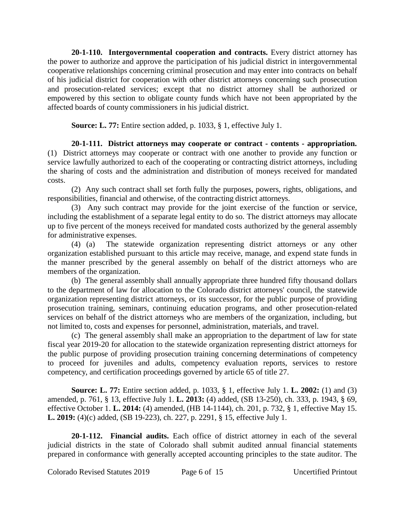**20-1-110. Intergovernmental cooperation and contracts.** Every district attorney has the power to authorize and approve the participation of his judicial district in intergovernmental cooperative relationships concerning criminal prosecution and may enter into contracts on behalf of his judicial district for cooperation with other district attorneys concerning such prosecution and prosecution-related services; except that no district attorney shall be authorized or empowered by this section to obligate county funds which have not been appropriated by the affected boards of county commissioners in his judicial district.

**Source: L. 77:** Entire section added, p. 1033, § 1, effective July 1.

**20-1-111. District attorneys may cooperate or contract - contents - appropriation.** (1) District attorneys may cooperate or contract with one another to provide any function or service lawfully authorized to each of the cooperating or contracting district attorneys, including the sharing of costs and the administration and distribution of moneys received for mandated costs.

(2) Any such contract shall set forth fully the purposes, powers, rights, obligations, and responsibilities, financial and otherwise, of the contracting district attorneys.

(3) Any such contract may provide for the joint exercise of the function or service, including the establishment of a separate legal entity to do so. The district attorneys may allocate up to five percent of the moneys received for mandated costs authorized by the general assembly for administrative expenses.

(4) (a) The statewide organization representing district attorneys or any other organization established pursuant to this article may receive, manage, and expend state funds in the manner prescribed by the general assembly on behalf of the district attorneys who are members of the organization.

(b) The general assembly shall annually appropriate three hundred fifty thousand dollars to the department of law for allocation to the Colorado district attorneys' council, the statewide organization representing district attorneys, or its successor, for the public purpose of providing prosecution training, seminars, continuing education programs, and other prosecution-related services on behalf of the district attorneys who are members of the organization, including, but not limited to, costs and expenses for personnel, administration, materials, and travel.

(c) The general assembly shall make an appropriation to the department of law for state fiscal year 2019-20 for allocation to the statewide organization representing district attorneys for the public purpose of providing prosecution training concerning determinations of competency to proceed for juveniles and adults, competency evaluation reports, services to restore competency, and certification proceedings governed by article 65 of title 27.

**Source: L. 77:** Entire section added, p. 1033, § 1, effective July 1. **L. 2002:** (1) and (3) amended, p. 761, § 13, effective July 1. **L. 2013:** (4) added, (SB 13-250), ch. 333, p. 1943, § 69, effective October 1. **L. 2014:** (4) amended, (HB 14-1144), ch. 201, p. 732, § 1, effective May 15. **L. 2019:** (4)(c) added, (SB 19-223), ch. 227, p. 2291, § 15, effective July 1.

**20-1-112. Financial audits.** Each office of district attorney in each of the several judicial districts in the state of Colorado shall submit audited annual financial statements prepared in conformance with generally accepted accounting principles to the state auditor. The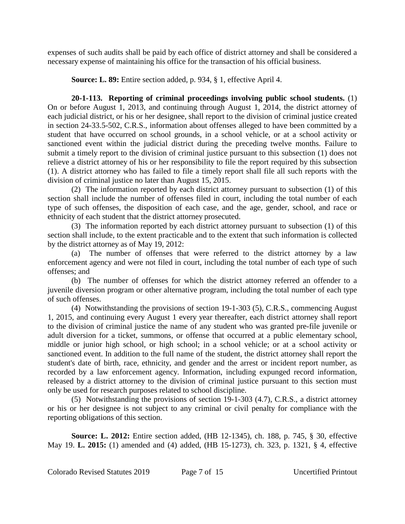expenses of such audits shall be paid by each office of district attorney and shall be considered a necessary expense of maintaining his office for the transaction of his official business.

**Source: L. 89:** Entire section added, p. 934, § 1, effective April 4.

**20-1-113. Reporting of criminal proceedings involving public school students.** (1) On or before August 1, 2013, and continuing through August 1, 2014, the district attorney of each judicial district, or his or her designee, shall report to the division of criminal justice created in section 24-33.5-502, C.R.S., information about offenses alleged to have been committed by a student that have occurred on school grounds, in a school vehicle, or at a school activity or sanctioned event within the judicial district during the preceding twelve months. Failure to submit a timely report to the division of criminal justice pursuant to this subsection (1) does not relieve a district attorney of his or her responsibility to file the report required by this subsection (1). A district attorney who has failed to file a timely report shall file all such reports with the division of criminal justice no later than August 15, 2015.

(2) The information reported by each district attorney pursuant to subsection (1) of this section shall include the number of offenses filed in court, including the total number of each type of such offenses, the disposition of each case, and the age, gender, school, and race or ethnicity of each student that the district attorney prosecuted.

(3) The information reported by each district attorney pursuant to subsection (1) of this section shall include, to the extent practicable and to the extent that such information is collected by the district attorney as of May 19, 2012:

(a) The number of offenses that were referred to the district attorney by a law enforcement agency and were not filed in court, including the total number of each type of such offenses; and

(b) The number of offenses for which the district attorney referred an offender to a juvenile diversion program or other alternative program, including the total number of each type of such offenses.

(4) Notwithstanding the provisions of section 19-1-303 (5), C.R.S., commencing August 1, 2015, and continuing every August 1 every year thereafter, each district attorney shall report to the division of criminal justice the name of any student who was granted pre-file juvenile or adult diversion for a ticket, summons, or offense that occurred at a public elementary school, middle or junior high school, or high school; in a school vehicle; or at a school activity or sanctioned event. In addition to the full name of the student, the district attorney shall report the student's date of birth, race, ethnicity, and gender and the arrest or incident report number, as recorded by a law enforcement agency. Information, including expunged record information, released by a district attorney to the division of criminal justice pursuant to this section must only be used for research purposes related to school discipline.

(5) Notwithstanding the provisions of section 19-1-303 (4.7), C.R.S., a district attorney or his or her designee is not subject to any criminal or civil penalty for compliance with the reporting obligations of this section.

**Source: L. 2012:** Entire section added, (HB 12-1345), ch. 188, p. 745, § 30, effective May 19. **L. 2015:** (1) amended and (4) added, (HB 15-1273), ch. 323, p. 1321, § 4, effective

Colorado Revised Statutes 2019 Page 7 of 15 Uncertified Printout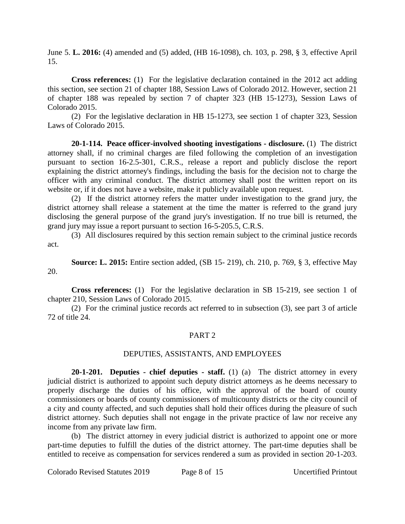June 5. **L. 2016:** (4) amended and (5) added, (HB 16-1098), ch. 103, p. 298, § 3, effective April 15.

**Cross references:** (1) For the legislative declaration contained in the 2012 act adding this section, see section 21 of chapter 188, Session Laws of Colorado 2012. However, section 21 of chapter 188 was repealed by section 7 of chapter 323 (HB 15-1273), Session Laws of Colorado 2015.

(2) For the legislative declaration in HB 15-1273, see section 1 of chapter 323, Session Laws of Colorado 2015.

**20-1-114. Peace officer-involved shooting investigations - disclosure.** (1) The district attorney shall, if no criminal charges are filed following the completion of an investigation pursuant to section 16-2.5-301, C.R.S., release a report and publicly disclose the report explaining the district attorney's findings, including the basis for the decision not to charge the officer with any criminal conduct. The district attorney shall post the written report on its website or, if it does not have a website, make it publicly available upon request.

(2) If the district attorney refers the matter under investigation to the grand jury, the district attorney shall release a statement at the time the matter is referred to the grand jury disclosing the general purpose of the grand jury's investigation. If no true bill is returned, the grand jury may issue a report pursuant to section 16-5-205.5, C.R.S.

(3) All disclosures required by this section remain subject to the criminal justice records act.

**Source: L. 2015:** Entire section added, (SB 15- 219), ch. 210, p. 769, § 3, effective May 20.

**Cross references:** (1) For the legislative declaration in SB 15-219, see section 1 of chapter 210, Session Laws of Colorado 2015.

(2) For the criminal justice records act referred to in subsection (3), see part 3 of article 72 of title 24.

# PART 2

# DEPUTIES, ASSISTANTS, AND EMPLOYEES

**20-1-201. Deputies - chief deputies - staff.** (1) (a) The district attorney in every judicial district is authorized to appoint such deputy district attorneys as he deems necessary to properly discharge the duties of his office, with the approval of the board of county commissioners or boards of county commissioners of multicounty districts or the city council of a city and county affected, and such deputies shall hold their offices during the pleasure of such district attorney. Such deputies shall not engage in the private practice of law nor receive any income from any private law firm.

(b) The district attorney in every judicial district is authorized to appoint one or more part-time deputies to fulfill the duties of the district attorney. The part-time deputies shall be entitled to receive as compensation for services rendered a sum as provided in section 20-1-203.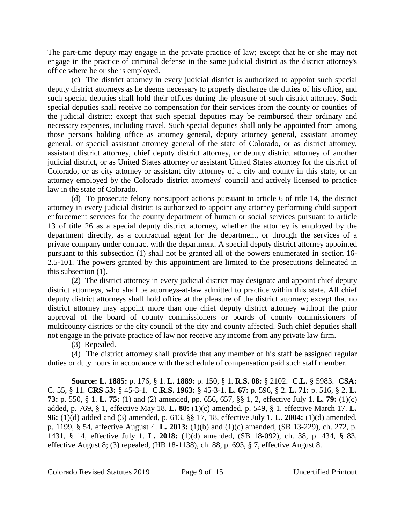The part-time deputy may engage in the private practice of law; except that he or she may not engage in the practice of criminal defense in the same judicial district as the district attorney's office where he or she is employed.

(c) The district attorney in every judicial district is authorized to appoint such special deputy district attorneys as he deems necessary to properly discharge the duties of his office, and such special deputies shall hold their offices during the pleasure of such district attorney. Such special deputies shall receive no compensation for their services from the county or counties of the judicial district; except that such special deputies may be reimbursed their ordinary and necessary expenses, including travel. Such special deputies shall only be appointed from among those persons holding office as attorney general, deputy attorney general, assistant attorney general, or special assistant attorney general of the state of Colorado, or as district attorney, assistant district attorney, chief deputy district attorney, or deputy district attorney of another judicial district, or as United States attorney or assistant United States attorney for the district of Colorado, or as city attorney or assistant city attorney of a city and county in this state, or an attorney employed by the Colorado district attorneys' council and actively licensed to practice law in the state of Colorado.

(d) To prosecute felony nonsupport actions pursuant to article 6 of title 14, the district attorney in every judicial district is authorized to appoint any attorney performing child support enforcement services for the county department of human or social services pursuant to article 13 of title 26 as a special deputy district attorney, whether the attorney is employed by the department directly, as a contractual agent for the department, or through the services of a private company under contract with the department. A special deputy district attorney appointed pursuant to this subsection (1) shall not be granted all of the powers enumerated in section 16- 2.5-101. The powers granted by this appointment are limited to the prosecutions delineated in this subsection (1).

(2) The district attorney in every judicial district may designate and appoint chief deputy district attorneys, who shall be attorneys-at-law admitted to practice within this state. All chief deputy district attorneys shall hold office at the pleasure of the district attorney; except that no district attorney may appoint more than one chief deputy district attorney without the prior approval of the board of county commissioners or boards of county commissioners of multicounty districts or the city council of the city and county affected. Such chief deputies shall not engage in the private practice of law nor receive any income from any private law firm.

(3) Repealed.

(4) The district attorney shall provide that any member of his staff be assigned regular duties or duty hours in accordance with the schedule of compensation paid such staff member.

**Source: L. 1885:** p. 176, § 1. **L. 1889:** p. 150, § 1. **R.S. 08:** § 2102. **C.L.** § 5983. **CSA:** C. 55, § 11. **CRS 53:** § 45-3-1. **C.R.S. 1963:** § 45-3-1. **L. 67:** p. 596, § 2. **L. 71:** p. 516, § 2. **L. 73:** p. 550, § 1. **L. 75:** (1) and (2) amended, pp. 656, 657, §§ 1, 2, effective July 1. **L. 79:** (1)(c) added, p. 769, § 1, effective May 18. **L. 80:** (1)(c) amended, p. 549, § 1, effective March 17. **L. 96:** (1)(d) added and (3) amended, p. 613, §§ 17, 18, effective July 1. **L. 2004:** (1)(d) amended, p. 1199, § 54, effective August 4. **L. 2013:** (1)(b) and (1)(c) amended, (SB 13-229), ch. 272, p. 1431, § 14, effective July 1. **L. 2018:** (1)(d) amended, (SB 18-092), ch. 38, p. 434, § 83, effective August 8; (3) repealed, (HB 18-1138), ch. 88, p. 693, § 7, effective August 8.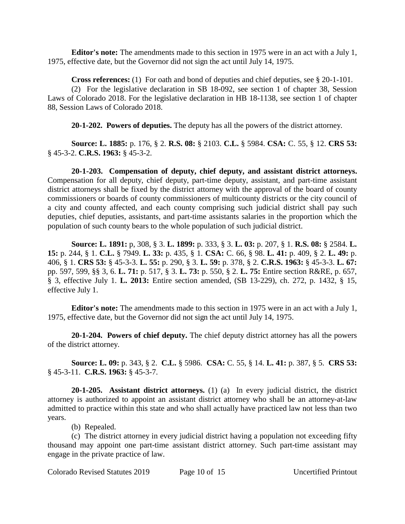**Editor's note:** The amendments made to this section in 1975 were in an act with a July 1, 1975, effective date, but the Governor did not sign the act until July 14, 1975.

**Cross references:** (1) For oath and bond of deputies and chief deputies, see § 20-1-101. (2) For the legislative declaration in SB 18-092, see section 1 of chapter 38, Session Laws of Colorado 2018. For the legislative declaration in HB 18-1138, see section 1 of chapter 88, Session Laws of Colorado 2018.

**20-1-202. Powers of deputies.** The deputy has all the powers of the district attorney.

**Source: L. 1885:** p. 176, § 2. **R.S. 08:** § 2103. **C.L.** § 5984. **CSA:** C. 55, § 12. **CRS 53:** § 45-3-2. **C.R.S. 1963:** § 45-3-2.

**20-1-203. Compensation of deputy, chief deputy, and assistant district attorneys.** Compensation for all deputy, chief deputy, part-time deputy, assistant, and part-time assistant district attorneys shall be fixed by the district attorney with the approval of the board of county commissioners or boards of county commissioners of multicounty districts or the city council of a city and county affected, and each county comprising such judicial district shall pay such deputies, chief deputies, assistants, and part-time assistants salaries in the proportion which the population of such county bears to the whole population of such judicial district.

**Source: L. 1891:** p, 308, § 3. **L. 1899:** p. 333, § 3. **L. 03:** p. 207, § 1. **R.S. 08:** § 2584. **L. 15:** p. 244, § 1. **C.L.** § 7949. **L. 33:** p. 435, § 1. **CSA:** C. 66, § 98. **L. 41:** p. 409, § 2. **L. 49:** p. 406, § 1. **CRS 53:** § 45-3-3. **L. 55:** p. 290, § 3. **L. 59:** p. 378, § 2. **C.R.S. 1963:** § 45-3-3. **L. 67:** pp. 597, 599, §§ 3, 6. **L. 71:** p. 517, § 3. **L. 73:** p. 550, § 2. **L. 75:** Entire section R&RE, p. 657, § 3, effective July 1. **L. 2013:** Entire section amended, (SB 13-229), ch. 272, p. 1432, § 15, effective July 1.

**Editor's note:** The amendments made to this section in 1975 were in an act with a July 1, 1975, effective date, but the Governor did not sign the act until July 14, 1975.

**20-1-204. Powers of chief deputy.** The chief deputy district attorney has all the powers of the district attorney.

**Source: L. 09:** p. 343, § 2. **C.L.** § 5986. **CSA:** C. 55, § 14. **L. 41:** p. 387, § 5. **CRS 53:** § 45-3-11. **C.R.S. 1963:** § 45-3-7.

**20-1-205. Assistant district attorneys.** (1) (a) In every judicial district, the district attorney is authorized to appoint an assistant district attorney who shall be an attorney-at-law admitted to practice within this state and who shall actually have practiced law not less than two years.

(b) Repealed.

(c) The district attorney in every judicial district having a population not exceeding fifty thousand may appoint one part-time assistant district attorney. Such part-time assistant may engage in the private practice of law.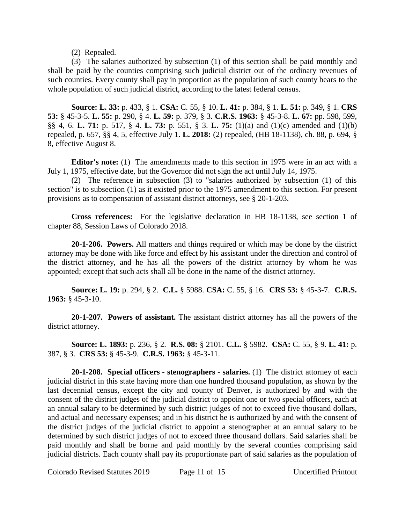# (2) Repealed.

(3) The salaries authorized by subsection (1) of this section shall be paid monthly and shall be paid by the counties comprising such judicial district out of the ordinary revenues of such counties. Every county shall pay in proportion as the population of such county bears to the whole population of such judicial district, according to the latest federal census.

**Source: L. 33:** p. 433, § 1. **CSA:** C. 55, § 10. **L. 41:** p. 384, § 1. **L. 51:** p. 349, § 1. **CRS 53:** § 45-3-5. **L. 55:** p. 290, § 4. **L. 59:** p. 379, § 3. **C.R.S. 1963:** § 45-3-8. **L. 67:** pp. 598, 599, §§ 4, 6. **L. 71:** p. 517, § 4. **L. 73:** p. 551, § 3. **L. 75:** (1)(a) and (1)(c) amended and (1)(b) repealed, p. 657, §§ 4, 5, effective July 1. **L. 2018:** (2) repealed, (HB 18-1138), ch. 88, p. 694, § 8, effective August 8.

**Editor's note:** (1) The amendments made to this section in 1975 were in an act with a July 1, 1975, effective date, but the Governor did not sign the act until July 14, 1975.

(2) The reference in subsection (3) to "salaries authorized by subsection (1) of this section" is to subsection (1) as it existed prior to the 1975 amendment to this section. For present provisions as to compensation of assistant district attorneys, see § 20-1-203.

**Cross references:** For the legislative declaration in HB 18-1138, see section 1 of chapter 88, Session Laws of Colorado 2018.

**20-1-206. Powers.** All matters and things required or which may be done by the district attorney may be done with like force and effect by his assistant under the direction and control of the district attorney, and he has all the powers of the district attorney by whom he was appointed; except that such acts shall all be done in the name of the district attorney.

**Source: L. 19:** p. 294, § 2. **C.L.** § 5988. **CSA:** C. 55, § 16. **CRS 53:** § 45-3-7. **C.R.S. 1963:** § 45-3-10.

**20-1-207. Powers of assistant.** The assistant district attorney has all the powers of the district attorney.

**Source: L. 1893:** p. 236, § 2. **R.S. 08:** § 2101. **C.L.** § 5982. **CSA:** C. 55, § 9. **L. 41:** p. 387, § 3. **CRS 53:** § 45-3-9. **C.R.S. 1963:** § 45-3-11.

**20-1-208. Special officers - stenographers - salaries.** (1) The district attorney of each judicial district in this state having more than one hundred thousand population, as shown by the last decennial census, except the city and county of Denver, is authorized by and with the consent of the district judges of the judicial district to appoint one or two special officers, each at an annual salary to be determined by such district judges of not to exceed five thousand dollars, and actual and necessary expenses; and in his district he is authorized by and with the consent of the district judges of the judicial district to appoint a stenographer at an annual salary to be determined by such district judges of not to exceed three thousand dollars. Said salaries shall be paid monthly and shall be borne and paid monthly by the several counties comprising said judicial districts. Each county shall pay its proportionate part of said salaries as the population of

Colorado Revised Statutes 2019 Page 11 of 15 Uncertified Printout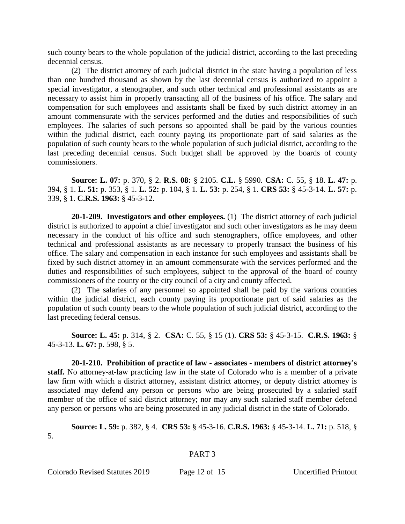such county bears to the whole population of the judicial district, according to the last preceding decennial census.

(2) The district attorney of each judicial district in the state having a population of less than one hundred thousand as shown by the last decennial census is authorized to appoint a special investigator, a stenographer, and such other technical and professional assistants as are necessary to assist him in properly transacting all of the business of his office. The salary and compensation for such employees and assistants shall be fixed by such district attorney in an amount commensurate with the services performed and the duties and responsibilities of such employees. The salaries of such persons so appointed shall be paid by the various counties within the judicial district, each county paying its proportionate part of said salaries as the population of such county bears to the whole population of such judicial district, according to the last preceding decennial census. Such budget shall be approved by the boards of county commissioners.

**Source: L. 07:** p. 370, § 2. **R.S. 08:** § 2105. **C.L.** § 5990. **CSA:** C. 55, § 18. **L. 47:** p. 394, § 1. **L. 51:** p. 353, § 1. **L. 52:** p. 104, § 1. **L. 53:** p. 254, § 1. **CRS 53:** § 45-3-14. **L. 57:** p. 339, § 1. **C.R.S. 1963:** § 45-3-12.

**20-1-209. Investigators and other employees.** (1) The district attorney of each judicial district is authorized to appoint a chief investigator and such other investigators as he may deem necessary in the conduct of his office and such stenographers, office employees, and other technical and professional assistants as are necessary to properly transact the business of his office. The salary and compensation in each instance for such employees and assistants shall be fixed by such district attorney in an amount commensurate with the services performed and the duties and responsibilities of such employees, subject to the approval of the board of county commissioners of the county or the city council of a city and county affected.

(2) The salaries of any personnel so appointed shall be paid by the various counties within the judicial district, each county paying its proportionate part of said salaries as the population of such county bears to the whole population of such judicial district, according to the last preceding federal census.

**Source: L. 45:** p. 314, § 2. **CSA:** C. 55, § 15 (1). **CRS 53:** § 45-3-15. **C.R.S. 1963:** § 45-3-13. **L. 67:** p. 598, § 5.

**20-1-210. Prohibition of practice of law - associates - members of district attorney's staff.** No attorney-at-law practicing law in the state of Colorado who is a member of a private law firm with which a district attorney, assistant district attorney, or deputy district attorney is associated may defend any person or persons who are being prosecuted by a salaried staff member of the office of said district attorney; nor may any such salaried staff member defend any person or persons who are being prosecuted in any judicial district in the state of Colorado.

**Source: L. 59:** p. 382, § 4. **CRS 53:** § 45-3-16. **C.R.S. 1963:** § 45-3-14. **L. 71:** p. 518, §

#### PART 3

Colorado Revised Statutes 2019 Page 12 of 15 Uncertified Printout

5.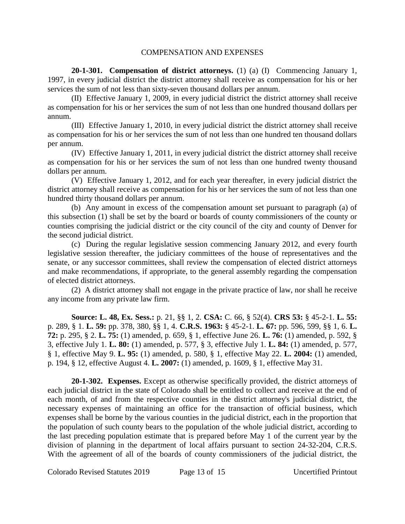# COMPENSATION AND EXPENSES

**20-1-301. Compensation of district attorneys.** (1) (a) (I) Commencing January 1, 1997, in every judicial district the district attorney shall receive as compensation for his or her services the sum of not less than sixty-seven thousand dollars per annum.

(II) Effective January 1, 2009, in every judicial district the district attorney shall receive as compensation for his or her services the sum of not less than one hundred thousand dollars per annum.

(III) Effective January 1, 2010, in every judicial district the district attorney shall receive as compensation for his or her services the sum of not less than one hundred ten thousand dollars per annum.

(IV) Effective January 1, 2011, in every judicial district the district attorney shall receive as compensation for his or her services the sum of not less than one hundred twenty thousand dollars per annum.

(V) Effective January 1, 2012, and for each year thereafter, in every judicial district the district attorney shall receive as compensation for his or her services the sum of not less than one hundred thirty thousand dollars per annum.

(b) Any amount in excess of the compensation amount set pursuant to paragraph (a) of this subsection (1) shall be set by the board or boards of county commissioners of the county or counties comprising the judicial district or the city council of the city and county of Denver for the second judicial district.

(c) During the regular legislative session commencing January 2012, and every fourth legislative session thereafter, the judiciary committees of the house of representatives and the senate, or any successor committees, shall review the compensation of elected district attorneys and make recommendations, if appropriate, to the general assembly regarding the compensation of elected district attorneys.

(2) A district attorney shall not engage in the private practice of law, nor shall he receive any income from any private law firm.

**Source: L. 48, Ex. Sess.:** p. 21, §§ 1, 2. **CSA:** C. 66, § 52(4). **CRS 53:** § 45-2-1. **L. 55:** p. 289, § 1. **L. 59:** pp. 378, 380, §§ 1, 4. **C.R.S. 1963:** § 45-2-1. **L. 67:** pp. 596, 599, §§ 1, 6. **L. 72:** p. 295, § 2. **L. 75:** (1) amended, p. 659, § 1, effective June 26. **L. 76:** (1) amended, p. 592, § 3, effective July 1. **L. 80:** (1) amended, p. 577, § 3, effective July 1. **L. 84:** (1) amended, p. 577, § 1, effective May 9. **L. 95:** (1) amended, p. 580, § 1, effective May 22. **L. 2004:** (1) amended, p. 194, § 12, effective August 4. **L. 2007:** (1) amended, p. 1609, § 1, effective May 31.

**20-1-302. Expenses.** Except as otherwise specifically provided, the district attorneys of each judicial district in the state of Colorado shall be entitled to collect and receive at the end of each month, of and from the respective counties in the district attorney's judicial district, the necessary expenses of maintaining an office for the transaction of official business, which expenses shall be borne by the various counties in the judicial district, each in the proportion that the population of such county bears to the population of the whole judicial district, according to the last preceding population estimate that is prepared before May 1 of the current year by the division of planning in the department of local affairs pursuant to section 24-32-204, C.R.S. With the agreement of all of the boards of county commissioners of the judicial district, the

Colorado Revised Statutes 2019 Page 13 of 15 Uncertified Printout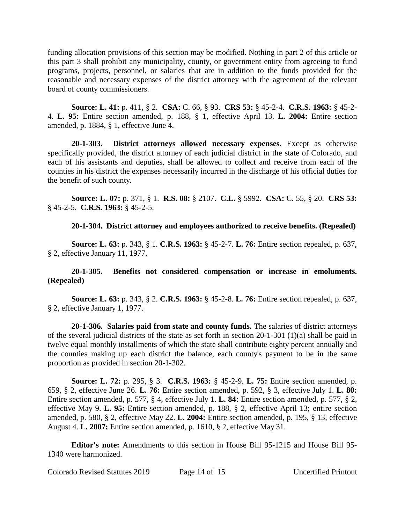funding allocation provisions of this section may be modified. Nothing in part 2 of this article or this part 3 shall prohibit any municipality, county, or government entity from agreeing to fund programs, projects, personnel, or salaries that are in addition to the funds provided for the reasonable and necessary expenses of the district attorney with the agreement of the relevant board of county commissioners.

**Source: L. 41:** p. 411, § 2. **CSA:** C. 66, § 93. **CRS 53:** § 45-2-4. **C.R.S. 1963:** § 45-2- 4. **L. 95:** Entire section amended, p. 188, § 1, effective April 13. **L. 2004:** Entire section amended, p. 1884, § 1, effective June 4.

**20-1-303. District attorneys allowed necessary expenses.** Except as otherwise specifically provided, the district attorney of each judicial district in the state of Colorado, and each of his assistants and deputies, shall be allowed to collect and receive from each of the counties in his district the expenses necessarily incurred in the discharge of his official duties for the benefit of such county.

**Source: L. 07:** p. 371, § 1. **R.S. 08:** § 2107. **C.L.** § 5992. **CSA:** C. 55, § 20. **CRS 53:** § 45-2-5. **C.R.S. 1963:** § 45-2-5.

**20-1-304. District attorney and employees authorized to receive benefits. (Repealed)**

**Source: L. 63:** p. 343, § 1. **C.R.S. 1963:** § 45-2-7. **L. 76:** Entire section repealed, p. 637, § 2, effective January 11, 1977.

# **20-1-305. Benefits not considered compensation or increase in emoluments. (Repealed)**

**Source: L. 63:** p. 343, § 2. **C.R.S. 1963:** § 45-2-8. **L. 76:** Entire section repealed, p. 637, § 2, effective January 1, 1977.

**20-1-306. Salaries paid from state and county funds.** The salaries of district attorneys of the several judicial districts of the state as set forth in section 20-1-301 (1)(a) shall be paid in twelve equal monthly installments of which the state shall contribute eighty percent annually and the counties making up each district the balance, each county's payment to be in the same proportion as provided in section 20-1-302.

**Source: L. 72:** p. 295, § 3. **C.R.S. 1963:** § 45-2-9. **L. 75:** Entire section amended, p. 659, § 2, effective June 26. **L. 76:** Entire section amended, p. 592, § 3, effective July 1. **L. 80:** Entire section amended, p. 577, § 4, effective July 1. **L. 84:** Entire section amended, p. 577, § 2, effective May 9. **L. 95:** Entire section amended, p. 188, § 2, effective April 13; entire section amended, p. 580, § 2, effective May 22. **L. 2004:** Entire section amended, p. 195, § 13, effective August 4. **L. 2007:** Entire section amended, p. 1610, § 2, effective May 31.

**Editor's note:** Amendments to this section in House Bill 95-1215 and House Bill 95- 1340 were harmonized.

Colorado Revised Statutes 2019 Page 14 of 15 Uncertified Printout